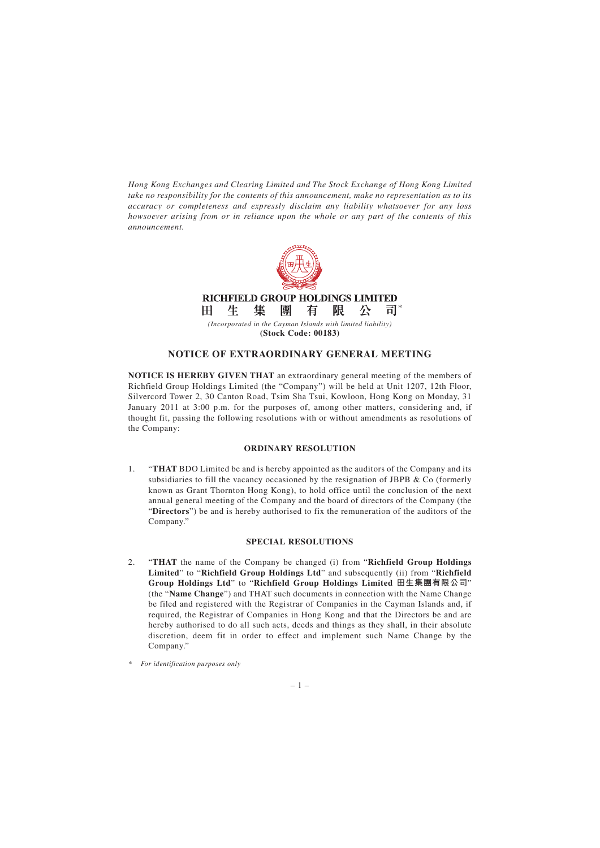*Hong Kong Exchanges and Clearing Limited and The Stock Exchange of Hong Kong Limited take no responsibility for the contents of this announcement, make no representation as to its accuracy or completeness and expressly disclaim any liability whatsoever for any loss howsoever arising from or in reliance upon the whole or any part of the contents of this announcement.*



*(Incorporated in the Cayman Islands with limited liability)* **(Stock Code: 00183)**

## **NOTICE OF EXTRAORDINARY GENERAL MEETING**

**NOTICE IS HEREBY GIVEN THAT** an extraordinary general meeting of the members of Richfield Group Holdings Limited (the "Company") will be held at Unit 1207, 12th Floor, Silvercord Tower 2, 30 Canton Road, Tsim Sha Tsui, Kowloon, Hong Kong on Monday, 31 January 2011 at 3:00 p.m. for the purposes of, among other matters, considering and, if thought fit, passing the following resolutions with or without amendments as resolutions of the Company:

## **ORDINARY RESOLUTION**

1. "**THAT** BDO Limited be and is hereby appointed as the auditors of the Company and its subsidiaries to fill the vacancy occasioned by the resignation of JBPB & Co (formerly known as Grant Thornton Hong Kong), to hold office until the conclusion of the next annual general meeting of the Company and the board of directors of the Company (the "**Directors**") be and is hereby authorised to fix the remuneration of the auditors of the Company."

## **SPECIAL RESOLUTIONS**

- 2. "**THAT** the name of the Company be changed (i) from "**Richfield Group Holdings Limited**" to "**Richfield Group Holdings Ltd**" and subsequently (ii) from "**Richfield Group Holdings Ltd**" to "**Richfield Group Holdings Limited 田生集團有限公司**" (the "**Name Change**") and THAT such documents in connection with the Name Change be filed and registered with the Registrar of Companies in the Cayman Islands and, if required, the Registrar of Companies in Hong Kong and that the Directors be and are hereby authorised to do all such acts, deeds and things as they shall, in their absolute discretion, deem fit in order to effect and implement such Name Change by the Company."
- *\* For identification purposes only*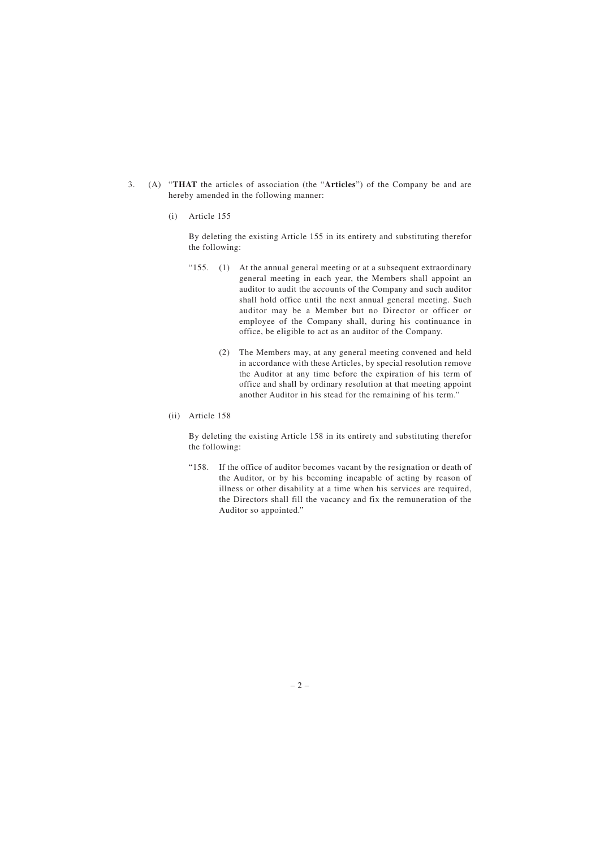- 3. (A) "**THAT** the articles of association (the "**Articles**") of the Company be and are hereby amended in the following manner:
	- (i) Article 155

By deleting the existing Article 155 in its entirety and substituting therefor the following:

- " $155.$  (1) At the annual general meeting or at a subsequent extraordinary general meeting in each year, the Members shall appoint an auditor to audit the accounts of the Company and such auditor shall hold office until the next annual general meeting. Such auditor may be a Member but no Director or officer or employee of the Company shall, during his continuance in office, be eligible to act as an auditor of the Company.
	- (2) The Members may, at any general meeting convened and held in accordance with these Articles, by special resolution remove the Auditor at any time before the expiration of his term of office and shall by ordinary resolution at that meeting appoint another Auditor in his stead for the remaining of his term."
- (ii) Article 158

By deleting the existing Article 158 in its entirety and substituting therefor the following:

"158. If the office of auditor becomes vacant by the resignation or death of the Auditor, or by his becoming incapable of acting by reason of illness or other disability at a time when his services are required, the Directors shall fill the vacancy and fix the remuneration of the Auditor so appointed."